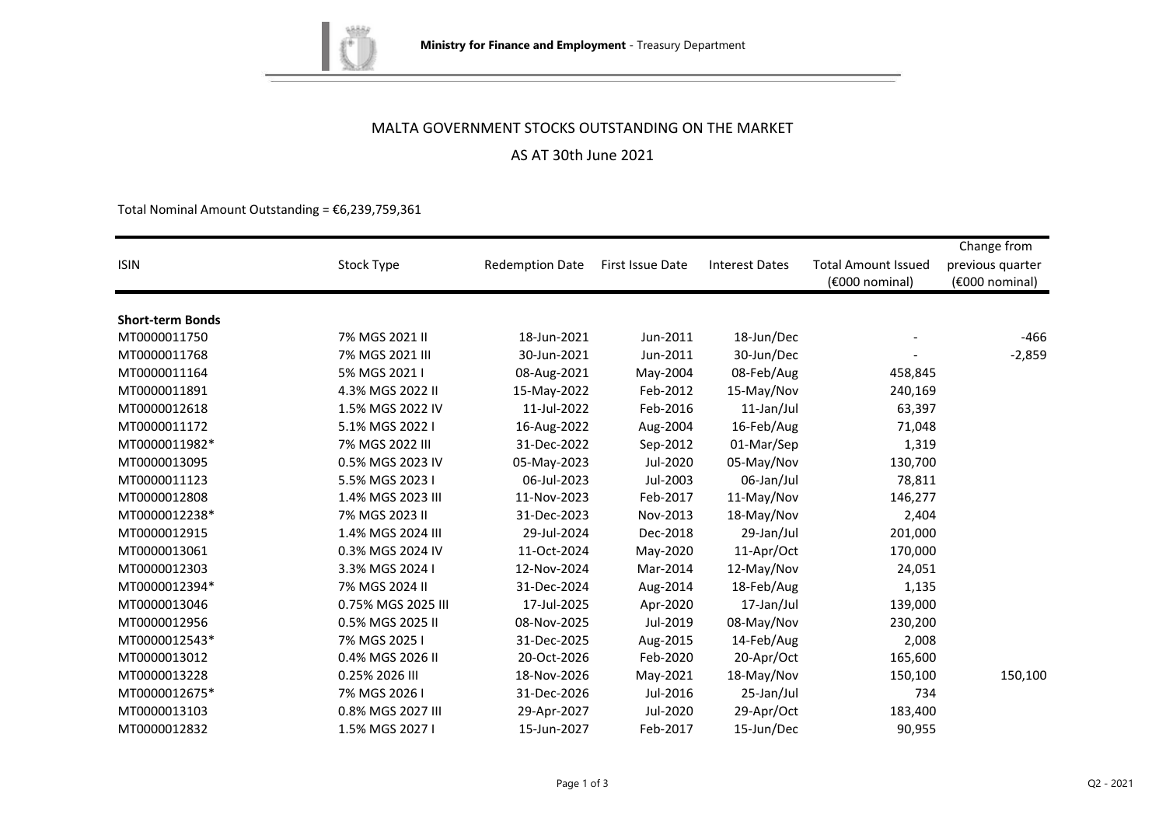

# MALTA GOVERNMENT STOCKS OUTSTANDING ON THE MARKET

# AS AT 30th June 2021

Total Nominal Amount Outstanding =  $\epsilon$ 6,239,759,361

| <b>ISIN</b>             | Stock Type         | <b>Redemption Date</b> | First Issue Date | <b>Interest Dates</b> | <b>Total Amount Issued</b><br>(€000 nominal) | Change from<br>previous quarter<br>(€000 nominal) |
|-------------------------|--------------------|------------------------|------------------|-----------------------|----------------------------------------------|---------------------------------------------------|
| <b>Short-term Bonds</b> |                    |                        |                  |                       |                                              |                                                   |
| MT0000011750            | 7% MGS 2021 II     | 18-Jun-2021            | Jun-2011         | 18-Jun/Dec            |                                              | $-466$                                            |
| MT0000011768            | 7% MGS 2021 III    | 30-Jun-2021            | Jun-2011         | 30-Jun/Dec            |                                              | $-2,859$                                          |
| MT0000011164            | 5% MGS 2021 I      | 08-Aug-2021            | May-2004         | 08-Feb/Aug            | 458,845                                      |                                                   |
| MT0000011891            | 4.3% MGS 2022 II   | 15-May-2022            | Feb-2012         | 15-May/Nov            | 240,169                                      |                                                   |
| MT0000012618            | 1.5% MGS 2022 IV   | 11-Jul-2022            | Feb-2016         | 11-Jan/Jul            | 63,397                                       |                                                   |
| MT0000011172            | 5.1% MGS 2022 I    | 16-Aug-2022            | Aug-2004         | 16-Feb/Aug            | 71,048                                       |                                                   |
| MT0000011982*           | 7% MGS 2022 III    | 31-Dec-2022            | Sep-2012         | 01-Mar/Sep            | 1,319                                        |                                                   |
| MT0000013095            | 0.5% MGS 2023 IV   | 05-May-2023            | Jul-2020         | 05-May/Nov            | 130,700                                      |                                                   |
| MT0000011123            | 5.5% MGS 2023 I    | 06-Jul-2023            | Jul-2003         | 06-Jan/Jul            | 78,811                                       |                                                   |
| MT0000012808            | 1.4% MGS 2023 III  | 11-Nov-2023            | Feb-2017         | 11-May/Nov            | 146,277                                      |                                                   |
| MT0000012238*           | 7% MGS 2023 II     | 31-Dec-2023            | Nov-2013         | 18-May/Nov            | 2,404                                        |                                                   |
| MT0000012915            | 1.4% MGS 2024 III  | 29-Jul-2024            | Dec-2018         | 29-Jan/Jul            | 201,000                                      |                                                   |
| MT0000013061            | 0.3% MGS 2024 IV   | 11-Oct-2024            | May-2020         | 11-Apr/Oct            | 170,000                                      |                                                   |
| MT0000012303            | 3.3% MGS 2024 I    | 12-Nov-2024            | Mar-2014         | 12-May/Nov            | 24,051                                       |                                                   |
| MT0000012394*           | 7% MGS 2024 II     | 31-Dec-2024            | Aug-2014         | 18-Feb/Aug            | 1,135                                        |                                                   |
| MT0000013046            | 0.75% MGS 2025 III | 17-Jul-2025            | Apr-2020         | 17-Jan/Jul            | 139,000                                      |                                                   |
| MT0000012956            | 0.5% MGS 2025 II   | 08-Nov-2025            | Jul-2019         | 08-May/Nov            | 230,200                                      |                                                   |
| MT0000012543*           | 7% MGS 2025 I      | 31-Dec-2025            | Aug-2015         | 14-Feb/Aug            | 2,008                                        |                                                   |
| MT0000013012            | 0.4% MGS 2026 II   | 20-Oct-2026            | Feb-2020         | 20-Apr/Oct            | 165,600                                      |                                                   |
| MT0000013228            | 0.25% 2026 III     | 18-Nov-2026            | May-2021         | 18-May/Nov            | 150,100                                      | 150,100                                           |
| MT0000012675*           | 7% MGS 2026 I      | 31-Dec-2026            | Jul-2016         | 25-Jan/Jul            | 734                                          |                                                   |
| MT0000013103            | 0.8% MGS 2027 III  | 29-Apr-2027            | Jul-2020         | 29-Apr/Oct            | 183,400                                      |                                                   |
| MT0000012832            | 1.5% MGS 2027 I    | 15-Jun-2027            | Feb-2017         | 15-Jun/Dec            | 90,955                                       |                                                   |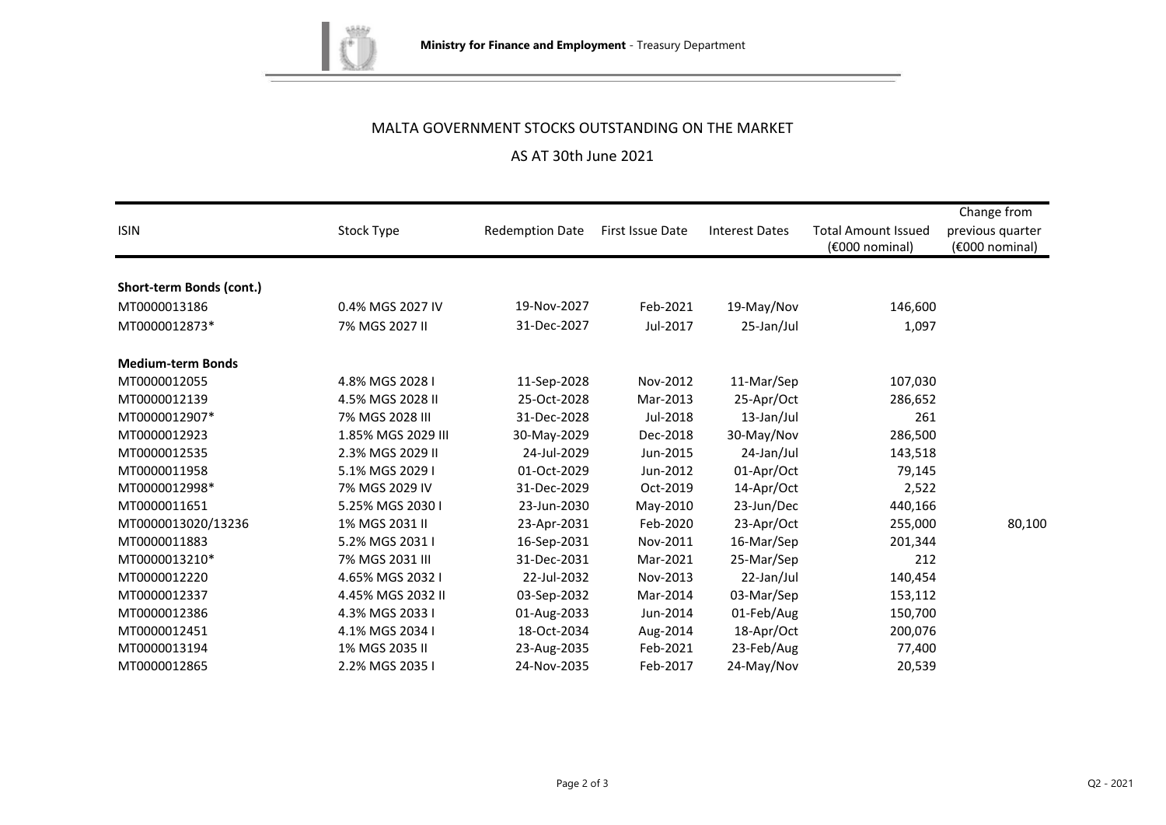

# MALTA GOVERNMENT STOCKS OUTSTANDING ON THE MARKET

# AS AT 30th June 2021

|                          |                    |                        |                  |                       |                            | Change from      |
|--------------------------|--------------------|------------------------|------------------|-----------------------|----------------------------|------------------|
| <b>ISIN</b>              | Stock Type         | <b>Redemption Date</b> | First Issue Date | <b>Interest Dates</b> | <b>Total Amount Issued</b> | previous quarter |
|                          |                    |                        |                  |                       | (€000 nominal)             | (€000 nominal)   |
|                          |                    |                        |                  |                       |                            |                  |
| Short-term Bonds (cont.) |                    |                        |                  |                       |                            |                  |
| MT0000013186             | 0.4% MGS 2027 IV   | 19-Nov-2027            | Feb-2021         | 19-May/Nov            | 146,600                    |                  |
| MT0000012873*            | 7% MGS 2027 II     | 31-Dec-2027            | Jul-2017         | 25-Jan/Jul            | 1,097                      |                  |
| <b>Medium-term Bonds</b> |                    |                        |                  |                       |                            |                  |
| MT0000012055             | 4.8% MGS 2028 I    | 11-Sep-2028            | Nov-2012         | 11-Mar/Sep            | 107,030                    |                  |
| MT0000012139             | 4.5% MGS 2028 II   | 25-Oct-2028            | Mar-2013         | 25-Apr/Oct            | 286,652                    |                  |
| MT0000012907*            | 7% MGS 2028 III    | 31-Dec-2028            | Jul-2018         | 13-Jan/Jul            | 261                        |                  |
| MT0000012923             | 1.85% MGS 2029 III | 30-May-2029            | Dec-2018         | 30-May/Nov            | 286,500                    |                  |
| MT0000012535             | 2.3% MGS 2029 II   | 24-Jul-2029            | Jun-2015         | 24-Jan/Jul            | 143,518                    |                  |
| MT0000011958             | 5.1% MGS 2029 I    | 01-Oct-2029            | Jun-2012         | 01-Apr/Oct            | 79,145                     |                  |
| MT0000012998*            | 7% MGS 2029 IV     | 31-Dec-2029            | Oct-2019         | 14-Apr/Oct            | 2,522                      |                  |
| MT0000011651             | 5.25% MGS 2030 I   | 23-Jun-2030            | May-2010         | 23-Jun/Dec            | 440,166                    |                  |
| MT0000013020/13236       | 1% MGS 2031 II     | 23-Apr-2031            | Feb-2020         | 23-Apr/Oct            | 255,000                    | 80,100           |
| MT0000011883             | 5.2% MGS 2031 I    | 16-Sep-2031            | Nov-2011         | 16-Mar/Sep            | 201,344                    |                  |
| MT0000013210*            | 7% MGS 2031 III    | 31-Dec-2031            | Mar-2021         | 25-Mar/Sep            | 212                        |                  |
| MT0000012220             | 4.65% MGS 2032 I   | 22-Jul-2032            | Nov-2013         | 22-Jan/Jul            | 140,454                    |                  |
| MT0000012337             | 4.45% MGS 2032 II  | 03-Sep-2032            | Mar-2014         | 03-Mar/Sep            | 153,112                    |                  |
| MT0000012386             | 4.3% MGS 2033 I    | 01-Aug-2033            | Jun-2014         | 01-Feb/Aug            | 150,700                    |                  |
| MT0000012451             | 4.1% MGS 2034 I    | 18-Oct-2034            | Aug-2014         | 18-Apr/Oct            | 200,076                    |                  |
| MT0000013194             | 1% MGS 2035 II     | 23-Aug-2035            | Feb-2021         | 23-Feb/Aug            | 77,400                     |                  |
| MT0000012865             | 2.2% MGS 2035 I    | 24-Nov-2035            | Feb-2017         | 24-May/Nov            | 20,539                     |                  |